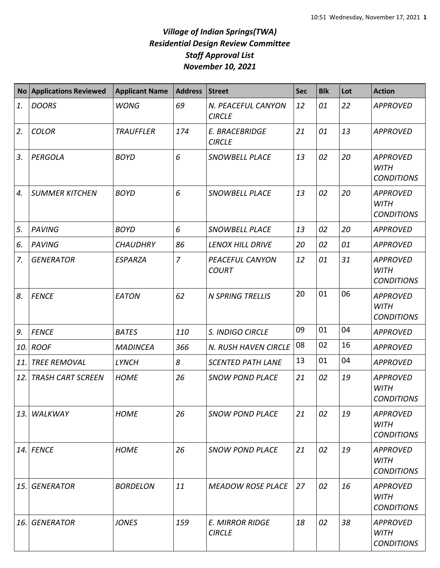## *Village of Indian Springs(TWA) Residential Design Review Committee Staff Approval List November 10, 2021*

| <b>No</b> | <b>Applications Reviewed</b> | <b>Applicant Name</b> | <b>Address</b> | <b>Street</b>                           | <b>Sec</b> | <b>Blk</b> | Lot | <b>Action</b>                                       |
|-----------|------------------------------|-----------------------|----------------|-----------------------------------------|------------|------------|-----|-----------------------------------------------------|
| 1.        | <b>DOORS</b>                 | <b>WONG</b>           | 69             | N. PEACEFUL CANYON<br><b>CIRCLE</b>     | 12         | 01         | 22  | <b>APPROVED</b>                                     |
| 2.        | <b>COLOR</b>                 | <b>TRAUFFLER</b>      | 174            | E. BRACEBRIDGE<br><b>CIRCLE</b>         | 21         | 01         | 13  | <b>APPROVED</b>                                     |
| 3.        | PERGOLA                      | <b>BOYD</b>           | 6              | <b>SNOWBELL PLACE</b>                   | 13         | 02         | 20  | <b>APPROVED</b><br><b>WITH</b><br><b>CONDITIONS</b> |
| 4.        | <b>SUMMER KITCHEN</b>        | <b>BOYD</b>           | 6              | SNOWBELL PLACE                          | 13         | 02         | 20  | <b>APPROVED</b><br><b>WITH</b><br><b>CONDITIONS</b> |
| 5.        | <b>PAVING</b>                | <b>BOYD</b>           | 6              | SNOWBELL PLACE                          | 13         | 02         | 20  | <b>APPROVED</b>                                     |
| 6.        | <b>PAVING</b>                | <b>CHAUDHRY</b>       | 86             | LENOX HILL DRIVE                        | 20         | 02         | 01  | <b>APPROVED</b>                                     |
| 7.        | <b>GENERATOR</b>             | <b>ESPARZA</b>        | $\overline{7}$ | PEACEFUL CANYON<br><b>COURT</b>         | 12         | 01         | 31  | <b>APPROVED</b><br><b>WITH</b><br><b>CONDITIONS</b> |
| 8.        | <b>FENCE</b>                 | EATON                 | 62             | <b>N SPRING TRELLIS</b>                 | 20         | 01         | 06  | <b>APPROVED</b><br><b>WITH</b><br><b>CONDITIONS</b> |
| 9.        | <b>FENCE</b>                 | <b>BATES</b>          | 110            | S. INDIGO CIRCLE                        | 09         | 01         | 04  | <b>APPROVED</b>                                     |
| 10.       | <b>ROOF</b>                  | <b>MADINCEA</b>       | 366            | N. RUSH HAVEN CIRCLE                    | 08         | 02         | 16  | <b>APPROVED</b>                                     |
| 11.       | <b>TREE REMOVAL</b>          | <b>LYNCH</b>          | 8              | <b>SCENTED PATH LANE</b>                | 13         | 01         | 04  | <b>APPROVED</b>                                     |
| 12.       | <b>TRASH CART SCREEN</b>     | <b>HOME</b>           | 26             | <b>SNOW POND PLACE</b>                  | 21         | 02         | 19  | <b>APPROVED</b><br><b>WITH</b><br><b>CONDITIONS</b> |
| 13.       | WALKWAY                      | <b>HOME</b>           | 26             | <b>SNOW POND PLACE</b>                  | 21         | 02         | 19  | <b>APPROVED</b><br><b>WITH</b><br><b>CONDITIONS</b> |
| 14.       | <b>FENCE</b>                 | <b>HOME</b>           | 26             | <b>SNOW POND PLACE</b>                  | 21         | 02         | 19  | <b>APPROVED</b><br><b>WITH</b><br><b>CONDITIONS</b> |
| 15.       | <b>GENERATOR</b>             | <b>BORDELON</b>       | 11             | <b>MEADOW ROSE PLACE</b>                | 27         | 02         | 16  | <b>APPROVED</b><br><b>WITH</b><br><b>CONDITIONS</b> |
| 16.       | <b>GENERATOR</b>             | <b>JONES</b>          | 159            | <b>E. MIRROR RIDGE</b><br><b>CIRCLE</b> | 18         | 02         | 38  | <b>APPROVED</b><br><b>WITH</b><br><b>CONDITIONS</b> |